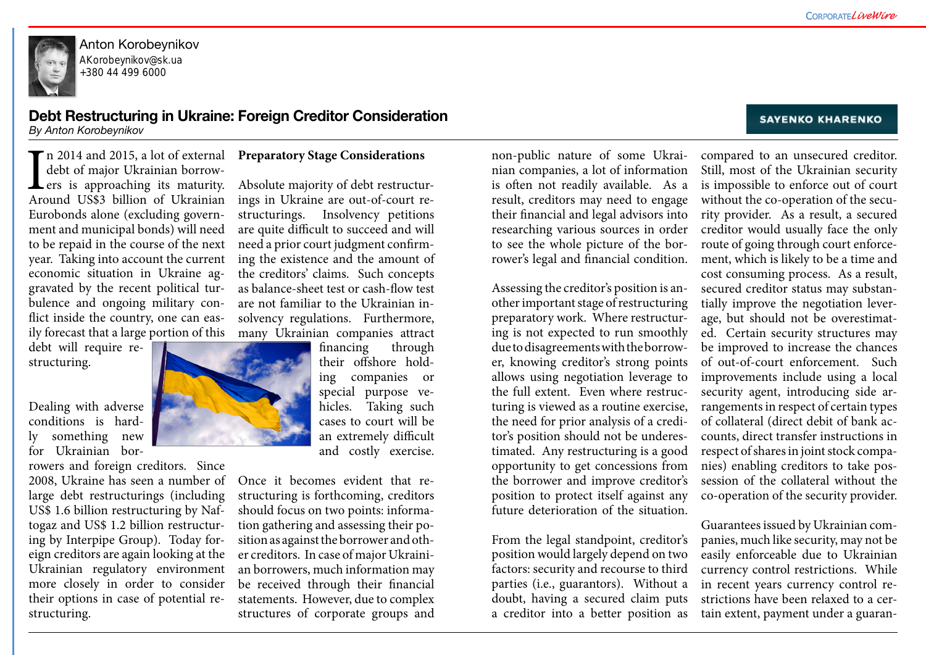

Anton Korobeynikov AKorobeynikov@sk.ua +380 44 499 6000

# **Debt Restructuring in Ukraine: Foreign Creditor Consideration**

*By Anton Korobeynikov* 

non-public nature of some Ukrainian companies, a lot of information is often not readily available. As a result, creditors may need to engage their financial and legal advisors into researching various sources in order to see the whole picture of the borrower's legal and financial condition.

Assessing the creditor's position is another important stage of restructuring preparatory work. Where restructuring is not expected to run smoothly due to disagreements with the borrower, knowing creditor's strong points allows using negotiation leverage to the full extent. Even where restructuring is viewed as a routine exercise, the need for prior analysis of a creditor's position should not be underestimated. Any restructuring is a good opportunity to get concessions from the borrower and improve creditor's position to protect itself against any future deterioration of the situation.

From the legal standpoint, creditor's position would largely depend on two factors: security and recourse to third parties (i.e., guarantors). Without a doubt, having a secured claim puts a creditor into a better position as



#### **SAYENKO KHARENKO**

I<br>Arc If n 2014 and 2015, a lot of external debt of major Ukrainian borrowers is approaching its maturity. Around US\$3 billion of Ukrainian Eurobonds alone (excluding government and municipal bonds) will need to be repaid in the course of the next year. Taking into account the current economic situation in Ukraine aggravated by the recent political turbulence and ongoing military conflict inside the country, one can easily forecast that a large portion of this

compared to an unsecured creditor. Still, most of the Ukrainian security is impossible to enforce out of court without the co-operation of the security provider. As a result, a secured creditor would usually face the only route of going through court enforcement, which is likely to be a time and cost consuming process. As a result, secured creditor status may substantially improve the negotiation leverage, but should not be overestimated. Certain security structures may be improved to increase the chances of out-of-court enforcement. Such improvements include using a local security agent, introducing side arrangements in respect of certain types of collateral (direct debit of bank accounts, direct transfer instructions in respect of shares in joint stock companies) enabling creditors to take possession of the collateral without the co-operation of the security provider.

Guarantees issued by Ukrainian companies, much like security, may not be easily enforceable due to Ukrainian currency control restrictions. While in recent years currency control restrictions have been relaxed to a certain extent, payment under a guaran-

debt will require restructuring.

Dealing with adverse conditions is hardly something new for Ukrainian bor-

rowers and foreign creditors. Since 2008, Ukraine has seen a number of large debt restructurings (including US\$ 1.6 billion restructuring by Naftogaz and US\$ 1.2 billion restructuring by Interpipe Group). Today foreign creditors are again looking at the Ukrainian regulatory environment more closely in order to consider their options in case of potential restructuring.

## **Preparatory Stage Considerations**

Absolute majority of debt restructurings in Ukraine are out-of-court restructurings. Insolvency petitions are quite difficult to succeed and will need a prior court judgment confirming the existence and the amount of the creditors' claims. Such concepts as balance-sheet test or cash-flow test are not familiar to the Ukrainian insolvency regulations. Furthermore, many Ukrainian companies attract

financing through their offshore holding companies or special purpose vehicles. Taking such cases to court will be an extremely difficult and costly exercise.

Once it becomes evident that restructuring is forthcoming, creditors should focus on two points: information gathering and assessing their position as against the borrower and other creditors. In case of major Ukrainian borrowers, much information may be received through their financial statements. However, due to complex structures of corporate groups and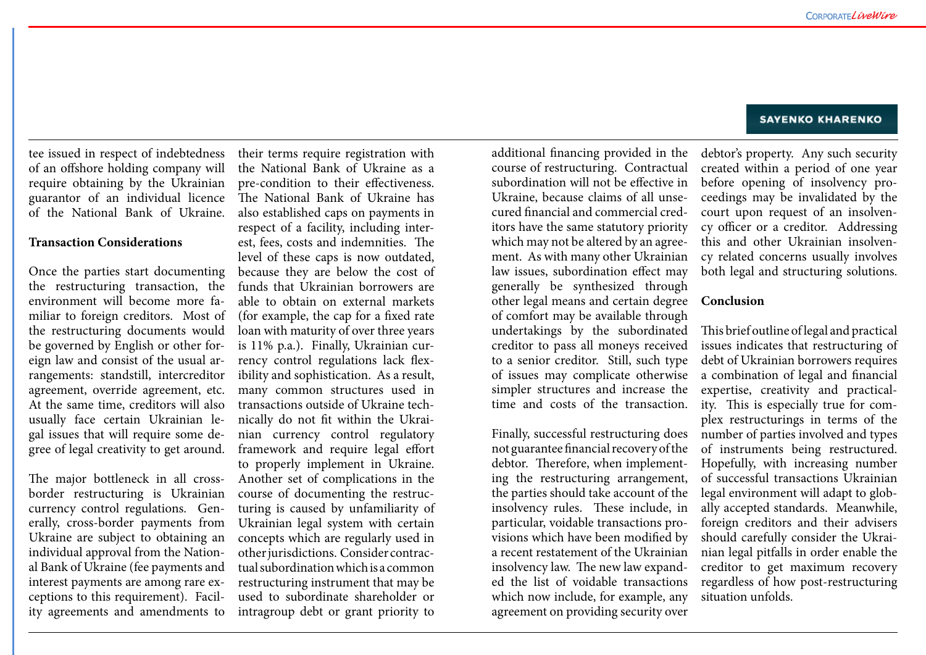additional financing provided in the course of restructuring. Contractual subordination will not be effective in Ukraine, because claims of all unsecured financial and commercial creditors have the same statutory priority which may not be altered by an agreement. As with many other Ukrainian law issues, subordination effect may generally be synthesized through other legal means and certain degree of comfort may be available through undertakings by the subordinated creditor to pass all moneys received to a senior creditor. Still, such type of issues may complicate otherwise simpler structures and increase the time and costs of the transaction.

Finally, successful restructuring does not guarantee financial recovery of the debtor. Therefore, when implementing the restructuring arrangement, the parties should take account of the insolvency rules. These include, in particular, voidable transactions provisions which have been modified by a recent restatement of the Ukrainian insolvency law. The new law expanded the list of voidable transactions which now include, for example, any agreement on providing security over

#### **SAYENKO KHARENKO**

debtor's property. Any such security created within a period of one year before opening of insolvency proceedings may be invalidated by the court upon request of an insolvency officer or a creditor. Addressing this and other Ukrainian insolvency related concerns usually involves both legal and structuring solutions.

## **Conclusion**

This brief outline of legal and practical issues indicates that restructuring of debt of Ukrainian borrowers requires a combination of legal and financial expertise, creativity and practicality. This is especially true for complex restructurings in terms of the number of parties involved and types of instruments being restructured. Hopefully, with increasing number of successful transactions Ukrainian legal environment will adapt to globally accepted standards. Meanwhile, foreign creditors and their advisers should carefully consider the Ukrainian legal pitfalls in order enable the creditor to get maximum recovery regardless of how post-restructuring situation unfolds.

tee issued in respect of indebtedness of an offshore holding company will require obtaining by the Ukrainian guarantor of an individual licence of the National Bank of Ukraine.

#### **Transaction Considerations**

Once the parties start documenting the restructuring transaction, the environment will become more familiar to foreign creditors. Most of the restructuring documents would be governed by English or other foreign law and consist of the usual arrangements: standstill, intercreditor agreement, override agreement, etc. At the same time, creditors will also usually face certain Ukrainian legal issues that will require some degree of legal creativity to get around.

The major bottleneck in all crossborder restructuring is Ukrainian currency control regulations. Generally, cross-border payments from Ukraine are subject to obtaining an individual approval from the National Bank of Ukraine (fee payments and interest payments are among rare exceptions to this requirement). Facility agreements and amendments to

their terms require registration with the National Bank of Ukraine as a pre-condition to their effectiveness. The National Bank of Ukraine has also established caps on payments in respect of a facility, including interest, fees, costs and indemnities. The level of these caps is now outdated, because they are below the cost of funds that Ukrainian borrowers are able to obtain on external markets (for example, the cap for a fixed rate loan with maturity of over three years is 11% p.a.). Finally, Ukrainian currency control regulations lack flexibility and sophistication. As a result, many common structures used in transactions outside of Ukraine technically do not fit within the Ukrainian currency control regulatory framework and require legal effort to properly implement in Ukraine. Another set of complications in the course of documenting the restructuring is caused by unfamiliarity of Ukrainian legal system with certain concepts which are regularly used in other jurisdictions. Consider contractual subordination which is a common restructuring instrument that may be used to subordinate shareholder or intragroup debt or grant priority to